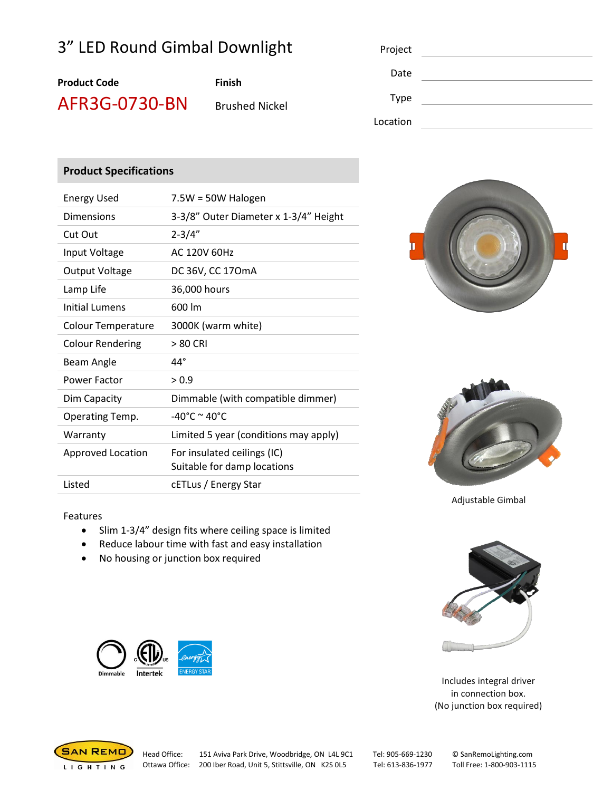## 3" LED Round Gimbal Downlight

| Proiect |  |  |
|---------|--|--|
|         |  |  |

# **Product Code Finish**

AFR3G-0730-BN Brushed Nickel

| Project     |  |
|-------------|--|
| Date        |  |
| <b>Type</b> |  |
| Location    |  |
|             |  |

### **Product Specifications**

| <b>Energy Used</b>        | $7.5W = 50W$ Halogen                                       |  |
|---------------------------|------------------------------------------------------------|--|
| <b>Dimensions</b>         | 3-3/8" Outer Diameter x 1-3/4" Height                      |  |
| Cut Out                   | $2 - 3/4"$                                                 |  |
| Input Voltage             | AC 120V 60Hz                                               |  |
| <b>Output Voltage</b>     | DC 36V, CC 170mA                                           |  |
| Lamp Life                 | 36,000 hours                                               |  |
| Initial Lumens            | 600 lm                                                     |  |
| <b>Colour Temperature</b> | 3000K (warm white)                                         |  |
| <b>Colour Rendering</b>   | > 80 CRI                                                   |  |
| Beam Angle                | $44^\circ$                                                 |  |
| Power Factor              | > 0.9                                                      |  |
| Dim Capacity              | Dimmable (with compatible dimmer)                          |  |
| Operating Temp.           | -40°C $\sim$ 40°C                                          |  |
| Warranty                  | Limited 5 year (conditions may apply)                      |  |
| Approved Location         | For insulated ceilings (IC)<br>Suitable for damp locations |  |
| Listed                    | cETLus / Energy Star                                       |  |





Adjustable Gimbal

#### Features

- Slim 1-3/4" design fits where ceiling space is limited
- Reduce labour time with fast and easy installation
- No housing or junction box required





Includes integral driver in connection box. (No junction box required)



Head Office: 151 Aviva Park Drive, Woodbridge, ON L4L 9C1 Tel: 905-669-1230 © SanRemoLighting.com Ottawa Office: 200 Iber Road, Unit 5, Stittsville, ON K2S 0L5 Tel: 613-836-1977 Toll Free: 1-800-903-1115